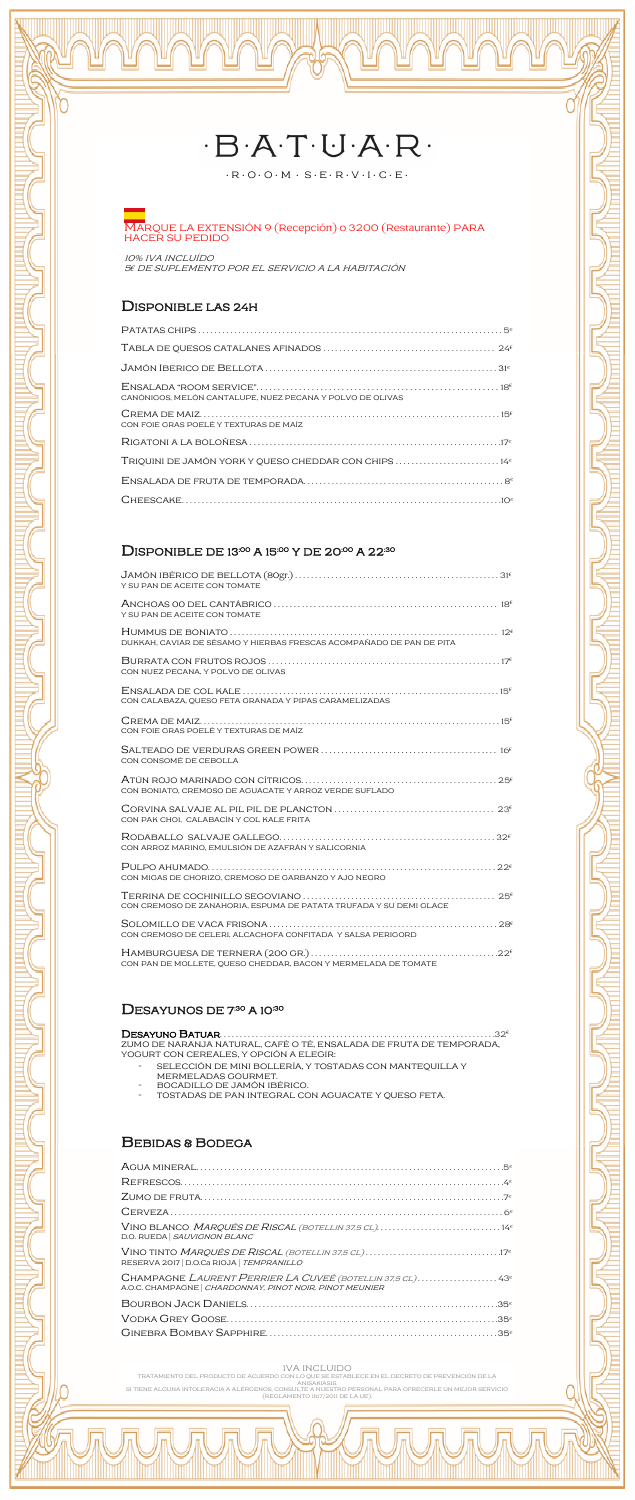# $-B \cdot A \cdot T \cdot U \cdot A \cdot R$

 $\cdot \mathsf{R} \cdot \mathsf{O} \cdot \mathsf{O} \cdot \mathsf{M} \, \cdot \, \mathsf{S} \cdot \mathsf{E} \cdot \mathsf{R} \cdot \mathsf{V} \cdot \mathsf{I} \cdot \mathsf{C} \cdot \mathsf{E} \cdot$ 

### MARQUE LA EXTENSIÓN 9 (Recepción) o 3200 (Restaurante) PARA HACER SU PEDIDO

10% IVA INCLUÍDO 56 DE SUPLEMENTO POR EL SERVICIO A LA HABITACIÓN

## **DISPONIBLE LAS 24H**

| CANÓNIGOS, MELÓN CANTALUPE, NUEZ PECANA Y POLVO DE OLIVAS        |  |
|------------------------------------------------------------------|--|
| CON FOIE GRAS POELÉ Y TEXTURAS DE MAÍZ                           |  |
|                                                                  |  |
| TRIQUINI DE JAMÓN YORK Y QUESO CHEDDAR CON CHIPS 14 <sup>e</sup> |  |
|                                                                  |  |
|                                                                  |  |

## DISPONIBLE DE 13:00 A 15:00 Y DE 20:00 A 22:30

| Y SU PAN DE ACEITE CON TOMATE                                        |
|----------------------------------------------------------------------|
| Y SU PAN DE ACEITE CON TOMATE                                        |
| DUKKAH, CAVIAR DE SÉSAMO Y HIERBAS FRESCAS ACOMPAÑADO DE PAN DE PITA |
| CON NUEZ PECANA, Y POLVO DE OLIVAS                                   |
| CON CALABAZA, QUESO FETA GRANADA Y PIPAS CARAMELIZADAS               |
| CON FOIE GRAS POELÉ Y TEXTURAS DE MAÍZ                               |
| CON CONSOMÉ DE CEBOLLA                                               |
| CON BONIATO, CREMOSO DE AGUACATE Y ARROZ VERDE SUFLADO               |
| CON PAK CHOI, CALABACÍN Y COL KALE FRITA                             |
| CON ARROZ MARINO, EMULSIÓN DE AZAFRÁN Y SALICORNIA                   |
| CON MIGAS DE CHORIZO, CREMOSO DE GARBANZO Y AJO NEGRO                |
| CON CREMOSO DE ZANAHORIA, ESPLIMA DE PATATA TRUFADA Y SU DEMI GLACE  |

| CON CREMOSO DE CELERI. ALCACHOFA CONFITADA Y SALSA PERIGORD |  |
|-------------------------------------------------------------|--|

CON PAN DE MOLLETE, QUESO CHEDDAR, BACON Y MERMELADA DE TOMATE

### DESAYUNOS DE 7<sup>:30</sup> A 10<sup>:30</sup>

### 

ZUMO DE NARANJA NATURAL, CAFÉ O TÉ, ENSALADA DE FRUTA DE TEMPORADA, YOGURT CON CEREALES, Y OPCIÓN A ELEGIR:

- SELECCIÓN DE MINI BOLLERÍA, Y TOSTADAS CON MANTEQUILLA Y  $\overline{\phantom{a}}$ MERMELADAS GOURMET.
- $\overline{a}$ BOCADILLO DE JAMÓN IBÉRICO.
- TOSTADAS DE PAN INTEGRAL CON AGUACATE Y QUESO FETA.  $\overline{a}$

## **BEBIDAS & BODEGA**

| VINO BLANCO MARQUÉS DE RISCAL (BOTELLIN 37,5 CL)14 <sup>e</sup><br>D.O. RUEDA   SAUVIGNON BLANC                                  |
|----------------------------------------------------------------------------------------------------------------------------------|
| RESERVA 2017   D.O.Ca RIOJA   TEMPRANILLO                                                                                        |
| CHAMPAGNE LAURENT PERRIER LA CUVEÉ (BOTELLIN 37,5 CL)43 <sup>e</sup><br>A.O.C. CHAMPAGNE   CHARDONNAY, PINOT NOIR, PINOT MEUNIER |
|                                                                                                                                  |
|                                                                                                                                  |
|                                                                                                                                  |

#### **IVA INCLUIDO**

TRATAMIENTO DEL PRODUCTO DE ACUERDO CON LO QUE SE ESTABLECE EN EL DECRETO DE PREVENCIÓN DE LA<br>ANISAKIASIS.<br>SI TIENE ALGUNA INTOLERACIA A ALÉRGENOS, CONSULTE A NUESTRO PERSONAL PARA OFRECERLE UN MEJOR SERVICIO (REGLAMENTO 1167/2011 DE LA UE).